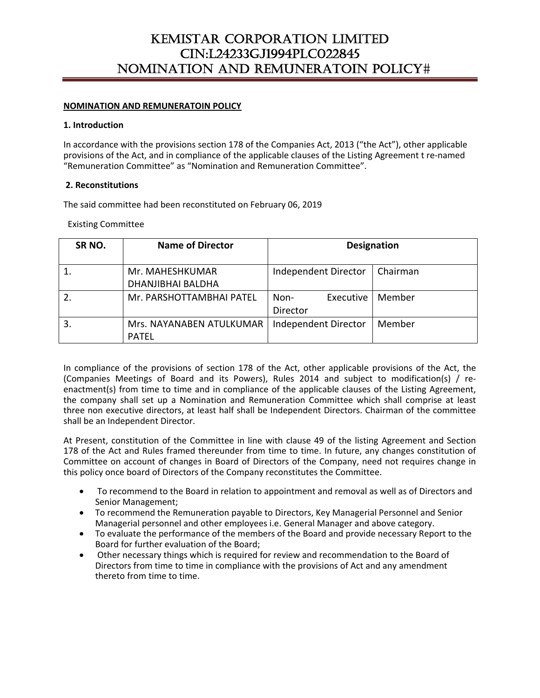## **NOMINATION AND REMUNERATOIN POLICY**

#### **1. Introduction**

In accordance with the provisions section 178 of the Companies Act, 2013 ("the Act"), other applicable provisions of the Act, and in compliance of the applicable clauses of the Listing Agreement t re‐named "Remuneration Committee" as "Nomination and Remuneration Committee".

#### **2. Reconstitutions**

The said committee had been reconstituted on February 06, 2019

Existing Committee

| SR <sub>NO</sub> . | <b>Name of Director</b>                     | <b>Designation</b>            |          |
|--------------------|---------------------------------------------|-------------------------------|----------|
|                    | Mr. MAHESHKUMAR<br><b>DHANJIBHAI BALDHA</b> | Independent Director          | Chairman |
|                    | Mr. PARSHOTTAMBHAI PATEL                    | Executive<br>Non-<br>Director | Member   |
| 3.                 | Mrs. NAYANABEN ATULKUMAR<br><b>PATEL</b>    | Independent Director          | Member   |

In compliance of the provisions of section 178 of the Act, other applicable provisions of the Act, the (Companies Meetings of Board and its Powers), Rules 2014 and subject to modification(s) / re‐ enactment(s) from time to time and in compliance of the applicable clauses of the Listing Agreement, the company shall set up a Nomination and Remuneration Committee which shall comprise at least three non executive directors, at least half shall be Independent Directors. Chairman of the committee shall be an Independent Director.

At Present, constitution of the Committee in line with clause 49 of the listing Agreement and Section 178 of the Act and Rules framed thereunder from time to time. In future, any changes constitution of Committee on account of changes in Board of Directors of the Company, need not requires change in this policy once board of Directors of the Company reconstitutes the Committee.

- To recommend to the Board in relation to appointment and removal as well as of Directors and Senior Management;
- To recommend the Remuneration payable to Directors, Key Managerial Personnel and Senior Managerial personnel and other employees i.e. General Manager and above category.
- To evaluate the performance of the members of the Board and provide necessary Report to the Board for further evaluation of the Board;
- Other necessary things which is required for review and recommendation to the Board of Directors from time to time in compliance with the provisions of Act and any amendment thereto from time to time.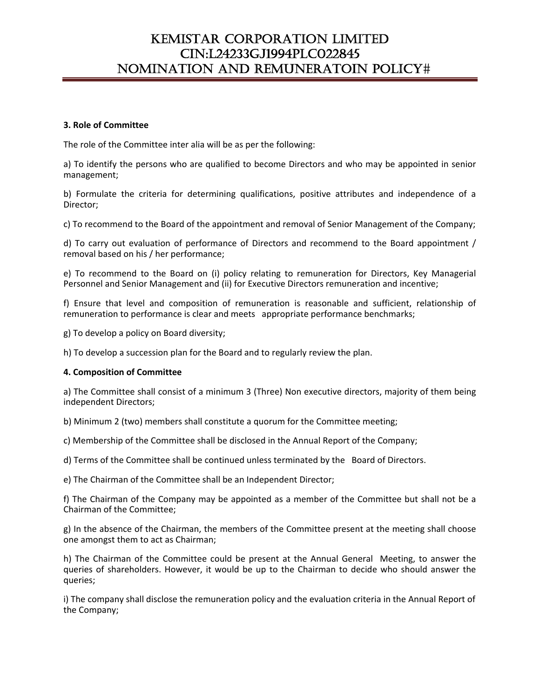### **3. Role of Committee**

The role of the Committee inter alia will be as per the following:

a) To identify the persons who are qualified to become Directors and who may be appointed in senior management;

b) Formulate the criteria for determining qualifications, positive attributes and independence of a Director;

c) To recommend to the Board of the appointment and removal of Senior Management of the Company;

d) To carry out evaluation of performance of Directors and recommend to the Board appointment / removal based on his / her performance;

e) To recommend to the Board on (i) policy relating to remuneration for Directors, Key Managerial Personnel and Senior Management and (ii) for Executive Directors remuneration and incentive;

f) Ensure that level and composition of remuneration is reasonable and sufficient, relationship of remuneration to performance is clear and meets appropriate performance benchmarks;

g) To develop a policy on Board diversity;

h) To develop a succession plan for the Board and to regularly review the plan.

#### **4. Composition of Committee**

a) The Committee shall consist of a minimum 3 (Three) Non executive directors, majority of them being independent Directors;

b) Minimum 2 (two) members shall constitute a quorum for the Committee meeting;

c) Membership of the Committee shall be disclosed in the Annual Report of the Company;

d) Terms of the Committee shall be continued unless terminated by the Board of Directors.

e) The Chairman of the Committee shall be an Independent Director;

f) The Chairman of the Company may be appointed as a member of the Committee but shall not be a Chairman of the Committee;

g) In the absence of the Chairman, the members of the Committee present at the meeting shall choose one amongst them to act as Chairman;

h) The Chairman of the Committee could be present at the Annual General Meeting, to answer the queries of shareholders. However, it would be up to the Chairman to decide who should answer the queries;

i) The company shall disclose the remuneration policy and the evaluation criteria in the Annual Report of the Company;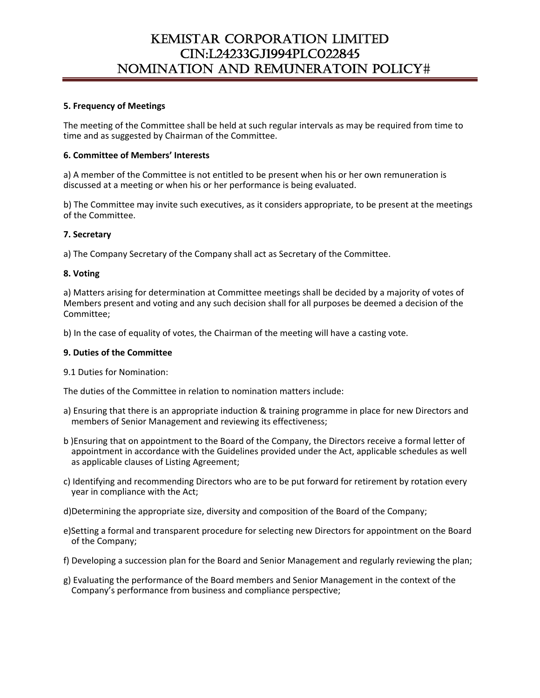## **5. Frequency of Meetings**

The meeting of the Committee shall be held at such regular intervals as may be required from time to time and as suggested by Chairman of the Committee.

## **6. Committee of Members' Interests**

a) A member of the Committee is not entitled to be present when his or her own remuneration is discussed at a meeting or when his or her performance is being evaluated.

b) The Committee may invite such executives, as it considers appropriate, to be present at the meetings of the Committee.

## **7. Secretary**

a) The Company Secretary of the Company shall act as Secretary of the Committee.

## **8. Voting**

a) Matters arising for determination at Committee meetings shall be decided by a majority of votes of Members present and voting and any such decision shall for all purposes be deemed a decision of the Committee;

b) In the case of equality of votes, the Chairman of the meeting will have a casting vote.

#### **9. Duties of the Committee**

9.1 Duties for Nomination:

The duties of the Committee in relation to nomination matters include:

- a) Ensuring that there is an appropriate induction & training programme in place for new Directors and members of Senior Management and reviewing its effectiveness;
- b )Ensuring that on appointment to the Board of the Company, the Directors receive a formal letter of appointment in accordance with the Guidelines provided under the Act, applicable schedules as well as applicable clauses of Listing Agreement;
- c) Identifying and recommending Directors who are to be put forward for retirement by rotation every year in compliance with the Act;
- d)Determining the appropriate size, diversity and composition of the Board of the Company;
- e)Setting a formal and transparent procedure for selecting new Directors for appointment on the Board of the Company;
- f) Developing a succession plan for the Board and Senior Management and regularly reviewing the plan;
- g) Evaluating the performance of the Board members and Senior Management in the context of the Company's performance from business and compliance perspective;